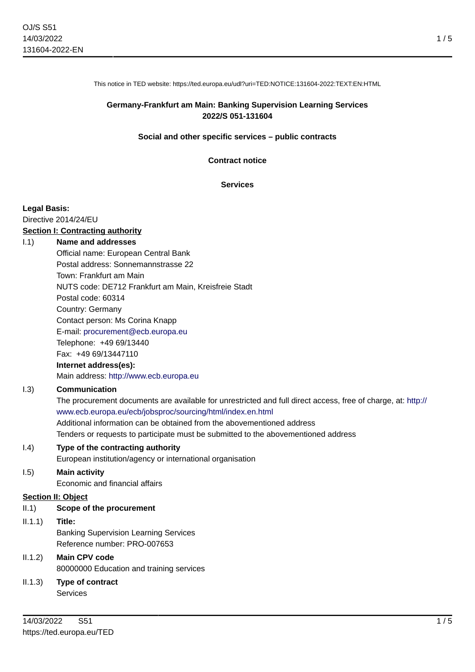This notice in TED website: https://ted.europa.eu/udl?uri=TED:NOTICE:131604-2022:TEXT:EN:HTML

## **Germany-Frankfurt am Main: Banking Supervision Learning Services 2022/S 051-131604**

#### **Social and other specific services – public contracts**

#### **Contract notice**

#### **Services**

#### **Legal Basis:**

Directive 2014/24/EU

#### **Section I: Contracting authority**

#### I.1) **Name and addresses**

Official name: European Central Bank Postal address: Sonnemannstrasse 22 Town: Frankfurt am Main NUTS code: DE712 Frankfurt am Main, Kreisfreie Stadt Postal code: 60314 Country: Germany Contact person: Ms Corina Knapp E-mail: [procurement@ecb.europa.eu](mailto:procurement@ecb.europa.eu) Telephone: +49 69/13440 Fax: +49 69/13447110 **Internet address(es):** Main address:<http://www.ecb.europa.eu>

## I.3) **Communication**

The procurement documents are available for unrestricted and full direct access, free of charge, at: [http://](http://www.ecb.europa.eu/ecb/jobsproc/sourcing/html/index.en.html) [www.ecb.europa.eu/ecb/jobsproc/sourcing/html/index.en.html](http://www.ecb.europa.eu/ecb/jobsproc/sourcing/html/index.en.html) Additional information can be obtained from the abovementioned address Tenders or requests to participate must be submitted to the abovementioned address

I.4) **Type of the contracting authority** European institution/agency or international organisation

## I.5) **Main activity**

Economic and financial affairs

## **Section II: Object**

## II.1) **Scope of the procurement**

II.1.1) **Title:**

Banking Supervision Learning Services Reference number: PRO-007653

# II.1.2) **Main CPV code**

80000000 Education and training services

II.1.3) **Type of contract** Services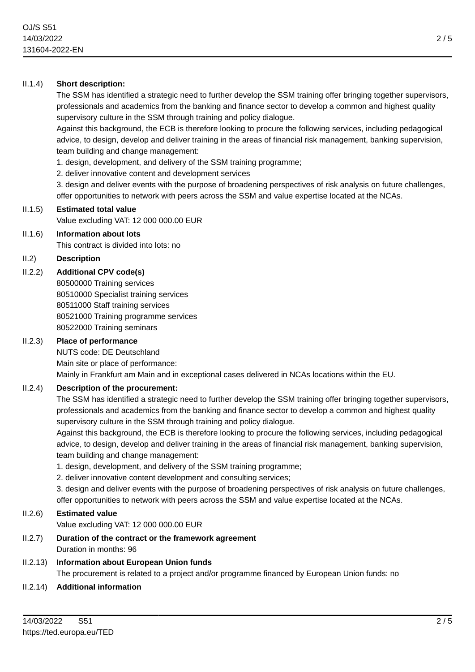# II.1.4) **Short description:**

The SSM has identified a strategic need to further develop the SSM training offer bringing together supervisors, professionals and academics from the banking and finance sector to develop a common and highest quality supervisory culture in the SSM through training and policy dialogue.

Against this background, the ECB is therefore looking to procure the following services, including pedagogical advice, to design, develop and deliver training in the areas of financial risk management, banking supervision, team building and change management:

1. design, development, and delivery of the SSM training programme;

2. deliver innovative content and development services

3. design and deliver events with the purpose of broadening perspectives of risk analysis on future challenges, offer opportunities to network with peers across the SSM and value expertise located at the NCAs.

## II.1.5) **Estimated total value**

Value excluding VAT: 12 000 000.00 EUR

## II.1.6) **Information about lots**

This contract is divided into lots: no

## II.2) **Description**

## II.2.2) **Additional CPV code(s)**

80500000 Training services 80510000 Specialist training services 80511000 Staff training services 80521000 Training programme services 80522000 Training seminars

## II.2.3) **Place of performance**

NUTS code: DE Deutschland Main site or place of performance: Mainly in Frankfurt am Main and in exceptional cases delivered in NCAs locations within the EU.

# II.2.4) **Description of the procurement:**

The SSM has identified a strategic need to further develop the SSM training offer bringing together supervisors, professionals and academics from the banking and finance sector to develop a common and highest quality supervisory culture in the SSM through training and policy dialogue.

Against this background, the ECB is therefore looking to procure the following services, including pedagogical advice, to design, develop and deliver training in the areas of financial risk management, banking supervision, team building and change management:

1. design, development, and delivery of the SSM training programme;

2. deliver innovative content development and consulting services;

3. design and deliver events with the purpose of broadening perspectives of risk analysis on future challenges, offer opportunities to network with peers across the SSM and value expertise located at the NCAs.

# II.2.6) **Estimated value**

Value excluding VAT: 12 000 000.00 EUR

II.2.7) **Duration of the contract or the framework agreement** Duration in months: 96

# II.2.13) **Information about European Union funds** The procurement is related to a project and/or programme financed by European Union funds: no

## II.2.14) **Additional information**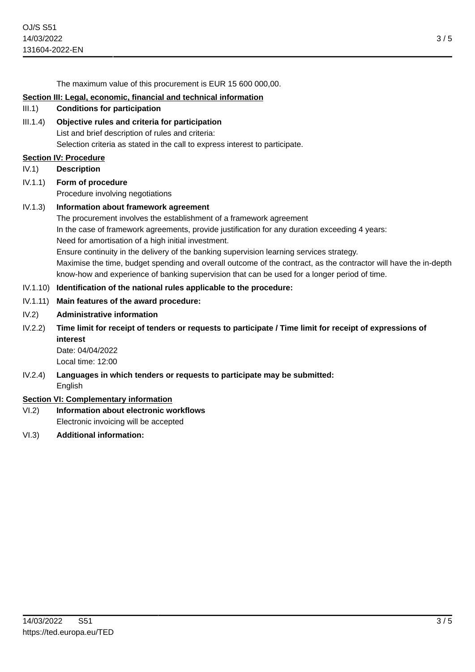3 / 5

The maximum value of this procurement is EUR 15 600 000,00.

#### **Section III: Legal, economic, financial and technical information**

- III.1) **Conditions for participation**
- III.1.4) **Objective rules and criteria for participation** List and brief description of rules and criteria: Selection criteria as stated in the call to express interest to participate.

#### **Section IV: Procedure**

- IV.1) **Description**
- IV.1.1) **Form of procedure** Procedure involving negotiations
- IV.1.3) **Information about framework agreement** The procurement involves the establishment of a framework agreement In the case of framework agreements, provide justification for any duration exceeding 4 years: Need for amortisation of a high initial investment. Ensure continuity in the delivery of the banking supervision learning services strategy. Maximise the time, budget spending and overall outcome of the contract, as the contractor will have the in-depth know-how and experience of banking supervision that can be used for a longer period of time.

#### IV.1.10) **Identification of the national rules applicable to the procedure:**

- IV.1.11) **Main features of the award procedure:**
- IV.2) **Administrative information**
- IV.2.2) **Time limit for receipt of tenders or requests to participate / Time limit for receipt of expressions of interest**
	- Date: 04/04/2022 Local time: 12:00
- IV.2.4) **Languages in which tenders or requests to participate may be submitted:** English

## **Section VI: Complementary information**

- VI.2) **Information about electronic workflows** Electronic invoicing will be accepted
- VI.3) **Additional information:**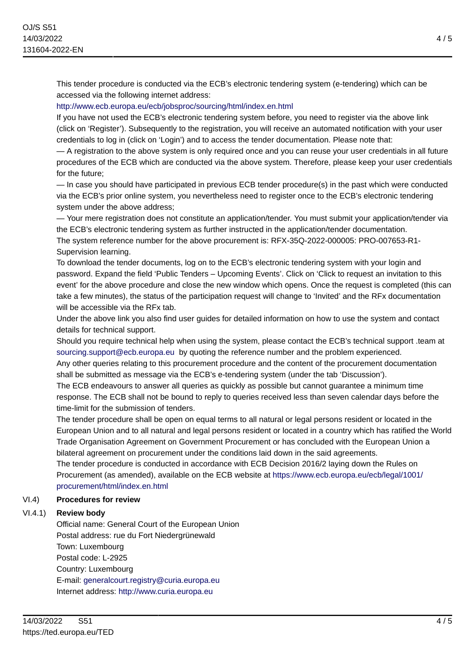This tender procedure is conducted via the ECB's electronic tendering system (e-tendering) which can be accessed via the following internet address:

## <http://www.ecb.europa.eu/ecb/jobsproc/sourcing/html/index.en.html>

If you have not used the ECB's electronic tendering system before, you need to register via the above link (click on 'Register'). Subsequently to the registration, you will receive an automated notification with your user credentials to log in (click on 'Login') and to access the tender documentation. Please note that:

— A registration to the above system is only required once and you can reuse your user credentials in all future procedures of the ECB which are conducted via the above system. Therefore, please keep your user credentials for the future;

— In case you should have participated in previous ECB tender procedure(s) in the past which were conducted via the ECB's prior online system, you nevertheless need to register once to the ECB's electronic tendering system under the above address;

— Your mere registration does not constitute an application/tender. You must submit your application/tender via the ECB's electronic tendering system as further instructed in the application/tender documentation.

The system reference number for the above procurement is: RFX-35Q-2022-000005: PRO-007653-R1- Supervision learning.

To download the tender documents, log on to the ECB's electronic tendering system with your login and password. Expand the field 'Public Tenders – Upcoming Events'. Click on 'Click to request an invitation to this event' for the above procedure and close the new window which opens. Once the request is completed (this can take a few minutes), the status of the participation request will change to 'Invited' and the RFx documentation will be accessible via the RFx tab.

Under the above link you also find user guides for detailed information on how to use the system and contact details for technical support.

Should you require technical help when using the system, please contact the ECB's technical support .team at [sourcing.support@ecb.europa.eu](mailto:sourcing.support@ecb.europa.eu) by quoting the reference number and the problem experienced.

Any other queries relating to this procurement procedure and the content of the procurement documentation shall be submitted as message via the ECB's e-tendering system (under the tab 'Discussion').

The ECB endeavours to answer all queries as quickly as possible but cannot guarantee a minimum time response. The ECB shall not be bound to reply to queries received less than seven calendar days before the time-limit for the submission of tenders.

The tender procedure shall be open on equal terms to all natural or legal persons resident or located in the European Union and to all natural and legal persons resident or located in a country which has ratified the World Trade Organisation Agreement on Government Procurement or has concluded with the European Union a bilateral agreement on procurement under the conditions laid down in the said agreements.

The tender procedure is conducted in accordance with ECB Decision 2016/2 laying down the Rules on Procurement (as amended), available on the ECB website at [https://www.ecb.europa.eu/ecb/legal/1001/](https://www.ecb.europa.eu/ecb/legal/1001/procurement/html/index.en.html) [procurement/html/index.en.html](https://www.ecb.europa.eu/ecb/legal/1001/procurement/html/index.en.html)

# VI.4) **Procedures for review**

# VI.4.1) **Review body**

Official name: General Court of the European Union Postal address: rue du Fort Niedergrünewald Town: Luxembourg Postal code: L-2925 Country: Luxembourg E-mail: [generalcourt.registry@curia.europa.eu](mailto:generalcourt.registry@curia.europa.eu) Internet address: <http://www.curia.europa.eu>